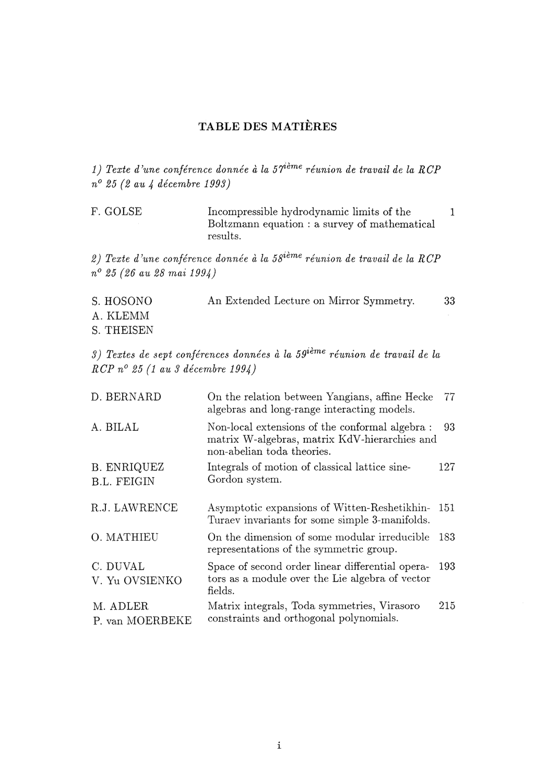## TABLE DES MATIÈRES

*1) Texte d'une conférence donnée à la 57ième réunion de travail de la RCP n° 25 (2 au 4 décembre 1993)* 

F. GOLSE Incompressible hydrodynamic limits of the 1 Boltzmann equation : a survey of mathematical results.

*2) Texte d'une conférence donnée à la 58ième réunion de travail de la RCP n° 25 (26 au 28 mai 1994)* 

| S. HOSONO  | An Extended Lecture on Mirror Symmetry. | 33 |
|------------|-----------------------------------------|----|
| A. KLEMM   |                                         |    |
| S. THEISEN |                                         |    |

*S) Textes de sept conférences données à la 59ième réunion de travail de la RCP n° 25 (1 au 3 décembre 1994)* 

| D. BERNARD                               | On the relation between Yangians, affine Hecke<br>algebras and long-range interacting models.                                 | 77   |
|------------------------------------------|-------------------------------------------------------------------------------------------------------------------------------|------|
| A. BILAL                                 | Non-local extensions of the conformal algebra:<br>matrix W-algebras, matrix KdV-hierarchies and<br>non-abelian toda theories. | 93   |
| <b>B. ENRIQUEZ</b><br><b>B.L. FEIGIN</b> | Integrals of motion of classical lattice sine-<br>Gordon system.                                                              | 127  |
| R.J. LAWRENCE                            | Asymptotic expansions of Witten-Reshetikhin-<br>Turaev invariants for some simple 3-manifolds.                                | 151  |
| O. MATHIEU                               | On the dimension of some modular irreducible<br>representations of the symmetric group.                                       | 183. |
| C. DUVAL<br>V. Yu OVSIENKO               | Space of second order linear differential opera-<br>tors as a module over the Lie algebra of vector<br>fields.                | 193  |
| M. ADLER<br>P. van MOERBEKE              | Matrix integrals, Toda symmetries, Virasoro<br>constraints and orthogonal polynomials.                                        | 215  |